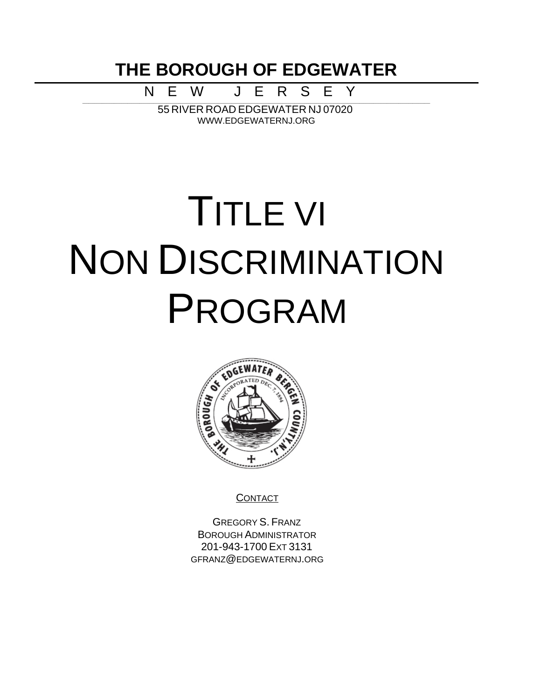**THE BOROUGH OF EDGEWATER**

N E W J E R S E Y

\_\_\_\_\_\_\_\_\_\_\_\_\_\_\_\_\_\_\_\_\_\_\_\_\_\_\_\_\_\_\_\_\_\_\_\_\_\_\_\_\_\_\_\_\_\_\_\_\_\_\_\_\_\_\_\_\_\_\_\_\_\_\_\_\_\_\_\_\_\_\_\_\_\_\_\_\_\_\_\_\_\_\_\_\_\_\_\_\_\_\_\_\_\_\_\_\_\_\_\_\_\_\_\_\_\_\_\_\_\_\_\_\_\_\_\_\_\_\_\_\_\_\_\_\_\_\_\_\_\_\_\_\_\_\_\_\_\_\_\_\_\_\_\_\_\_\_\_\_\_\_\_\_\_\_\_\_\_\_\_\_\_\_\_\_\_\_\_\_\_\_\_\_\_\_\_\_ 55 RIVER ROAD EDGEWATER NJ 07020 WWW.EDGEWATERNJ.ORG

# TITLE VI NON DISCRIMINATION PROGRAM



**CONTACT** 

GREGORY S. FRANZ BOROUGH ADMINISTRATOR 201-943-1700 EXT 3131 GFRANZ@EDGEWATERNJ.ORG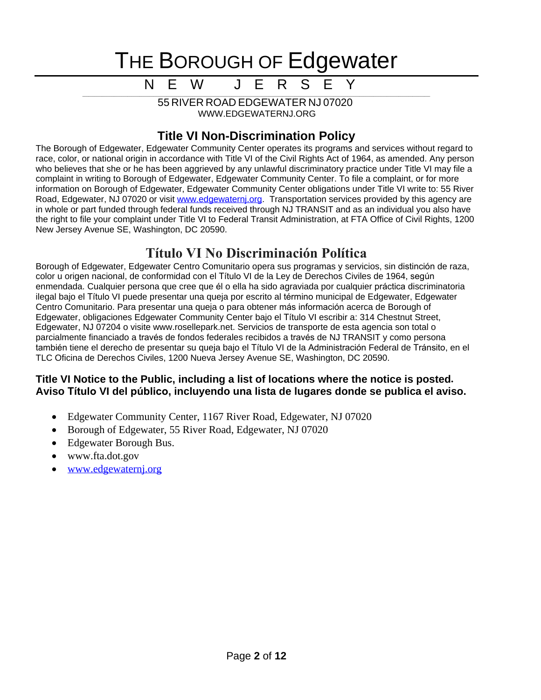N E W J E R S

\_\_\_\_\_\_\_\_\_\_\_\_\_\_\_\_\_\_\_\_\_\_\_\_\_\_\_\_\_\_\_\_\_\_\_\_\_\_\_\_\_\_\_\_\_\_\_\_\_\_\_\_\_\_\_\_\_\_\_\_\_\_\_\_\_\_\_\_\_\_\_\_\_\_\_\_\_\_\_\_\_\_\_\_\_\_\_\_\_\_\_\_\_\_\_\_\_\_\_\_\_\_\_\_\_\_\_\_\_\_\_\_\_\_\_\_\_\_\_\_\_\_\_\_\_\_\_\_\_\_\_\_\_\_\_\_\_\_\_\_\_\_\_\_\_\_\_\_\_\_\_\_\_\_\_\_\_\_\_\_\_\_\_\_\_\_\_\_\_\_\_\_\_\_\_\_\_ 55 RIVER ROAD EDGEWATER NJ 07020 WWW.EDGEWATERNJ.ORG

### **Title VI Non-Discrimination Policy**

The Borough of Edgewater, Edgewater Community Center operates its programs and services without regard to race, color, or national origin in accordance with Title VI of the Civil Rights Act of 1964, as amended. Any person who believes that she or he has been aggrieved by any unlawful discriminatory practice under Title VI may file a complaint in writing to Borough of Edgewater, Edgewater Community Center. To file a complaint, or for more information on Borough of Edgewater, Edgewater Community Center obligations under Title VI write to: 55 River Road, Edgewater, NJ 07020 or visit www.edgewaternj.org. Transportation services provided by this agency are [in whole or part funded through federal funds received through NJ TRANSIT and as an individual you also have](http://www.edgewaternj.org)  [the right to file your complaint under Title VI to Federal Transit Administration, at FTA Office of Civil Rights, 1200](http://www.edgewaternj.org)  [New Jersey Avenue SE, Washington, DC 20590.](http://www.edgewaternj.org)

### **[Título VI No Discriminación Política](http://www.edgewaternj.org)**

[Borough of Edgewater, Edgewater Centro Comunitario opera sus](http://www.edgewaternj.org) [programas y servicios, sin](http://www.edgewaternj.org) [distinción](http://www.edgewaternj.org) [de raza,](http://www.edgewaternj.org)  [color u origen](http://www.edgewaternj.org) [nacional, de conformidad con el](http://www.edgewaternj.org) [Título](http://www.edgewaternj.org) [VI de la Ley de Derechos Civiles de 1964,](http://www.edgewaternj.org) [según](http://www.edgewaternj.org) [enmendada. Cualquier persona que cree que](http://www.edgewaternj.org) [él](http://www.edgewaternj.org) [o ella ha sido](http://www.edgewaternj.org) [agraviada](http://www.edgewaternj.org) [por](http://www.edgewaternj.org) [cualquier](http://www.edgewaternj.org) [práctica](http://www.edgewaternj.org) [discriminatoria](http://www.edgewaternj.org) [ilegal](http://www.edgewaternj.org) [bajo el](http://www.edgewaternj.org) [Título](http://www.edgewaternj.org) [VI puede](http://www.edgewaternj.org) [presentar](http://www.edgewaternj.org) [una](http://www.edgewaternj.org) [queja](http://www.edgewaternj.org) [por](http://www.edgewaternj.org) [escrito al](http://www.edgewaternj.org) [término](http://www.edgewaternj.org) [municipal de Edgewater, Edgewater](http://www.edgewaternj.org) [Centro Comunitario. Para presentar](http://www.edgewaternj.org) [una](http://www.edgewaternj.org) [queja o para obtener](http://www.edgewaternj.org) [más](http://www.edgewaternj.org) [información](http://www.edgewaternj.org) [acerca de Borough of](http://www.edgewaternj.org)  [Edgewater, obligaciones](http://www.edgewaternj.org) [Edgewater Community Center bajo el](http://www.edgewaternj.org) [Título](http://www.edgewaternj.org) [VI escribir a: 314 Chestnut Street,](http://www.edgewaternj.org)  [Edgewater, NJ 07204 o visite www.rosellepark.net. Servicios de transporte de esta](http://www.edgewaternj.org) [agencia son total o](http://www.edgewaternj.org)  [parcialmente](http://www.edgewaternj.org) [financiado a](http://www.edgewaternj.org) [través](http://www.edgewaternj.org) [de fondos](http://www.edgewaternj.org) [federales](http://www.edgewaternj.org) [recibidos a](http://www.edgewaternj.org) [través](http://www.edgewaternj.org) [de NJ TRANSIT y como persona](http://www.edgewaternj.org)  [también](http://www.edgewaternj.org) [tiene el derecho de presentar](http://www.edgewaternj.org) [su](http://www.edgewaternj.org) [queja](http://www.edgewaternj.org) [bajo el](http://www.edgewaternj.org) [Título](http://www.edgewaternj.org) [VI de la](http://www.edgewaternj.org) [Administración](http://www.edgewaternj.org) [Federal de](http://www.edgewaternj.org) [Tránsito](http://www.edgewaternj.org)[, en el](http://www.edgewaternj.org)  [TLC Oficina de Derechos Civiles, 1200 Nueva Jersey Avenue SE, Washington, DC 20590.](http://www.edgewaternj.org)

#### **[Title VI Notice to the Public, including a list of locations where the notice is posted](http://www.edgewaternj.org)[.](http://www.edgewaternj.org) [Aviso](http://www.edgewaternj.org) [Título](http://www.edgewaternj.org) [VI del](http://www.edgewaternj.org) [público](http://www.edgewaternj.org)[, incluyendo](http://www.edgewaternj.org) [una](http://www.edgewaternj.org) [lista de lugares](http://www.edgewaternj.org) [donde se publica el aviso.](http://www.edgewaternj.org)**

- [Edgewater Community Center, 1167 River Road, Edgewater, NJ 07020](http://www.edgewaternj.org)
- [Borough of Edgewater, 55 River Road, Edgewater, NJ 07020](http://www.edgewaternj.org)
- [Edgewater Borough Bus.](http://www.edgewaternj.org)
- [www.fta.dot.gov](http://www.edgewaternj.org)
- [www.edgewaternj.org](http://www.edgewaternj.org)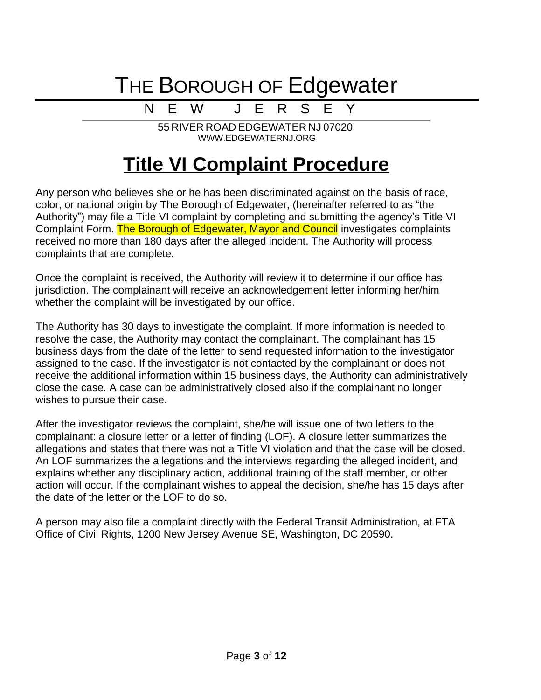### N E W J E R S E Y

\_\_\_\_\_\_\_\_\_\_\_\_\_\_\_\_\_\_\_\_\_\_\_\_\_\_\_\_\_\_\_\_\_\_\_\_\_\_\_\_\_\_\_\_\_\_\_\_\_\_\_\_\_\_\_\_\_\_\_\_\_\_\_\_\_\_\_\_\_\_\_\_\_\_\_\_\_\_\_\_\_\_\_\_\_\_\_\_\_\_\_\_\_\_\_\_\_\_\_\_\_\_\_\_\_\_\_\_\_\_\_\_\_\_\_\_\_\_\_\_\_\_\_\_\_\_\_\_\_\_\_\_\_\_\_\_\_\_\_\_\_\_\_\_\_\_\_\_\_\_\_\_\_\_\_\_\_\_\_\_\_\_\_\_\_\_\_\_\_\_\_\_\_\_\_\_\_ 55 RIVER ROAD EDGEWATER NJ 07020 WWW.EDGEWATERNJ.ORG

### **Title VI Complaint Procedure**

Any person who believes she or he has been discriminated against on the basis of race, color, or national origin by The Borough of Edgewater, (hereinafter referred to as "the Authority") may file a Title VI complaint by completing and submitting the agency's Title VI Complaint Form. The Borough of Edgewater, Mayor and Council investigates complaints received no more than 180 days after the alleged incident. The Authority will process complaints that are complete.

Once the complaint is received, the Authority will review it to determine if our office has jurisdiction. The complainant will receive an acknowledgement letter informing her/him whether the complaint will be investigated by our office.

The Authority has 30 days to investigate the complaint. If more information is needed to resolve the case, the Authority may contact the complainant. The complainant has 15 business days from the date of the letter to send requested information to the investigator assigned to the case. If the investigator is not contacted by the complainant or does not receive the additional information within 15 business days, the Authority can administratively close the case. A case can be administratively closed also if the complainant no longer wishes to pursue their case.

After the investigator reviews the complaint, she/he will issue one of two letters to the complainant: a closure letter or a letter of finding (LOF). A closure letter summarizes the allegations and states that there was not a Title VI violation and that the case will be closed. An LOF summarizes the allegations and the interviews regarding the alleged incident, and explains whether any disciplinary action, additional training of the staff member, or other action will occur. If the complainant wishes to appeal the decision, she/he has 15 days after the date of the letter or the LOF to do so.

A person may also file a complaint directly with the Federal Transit Administration, at FTA Office of Civil Rights, 1200 New Jersey Avenue SE, Washington, DC 20590.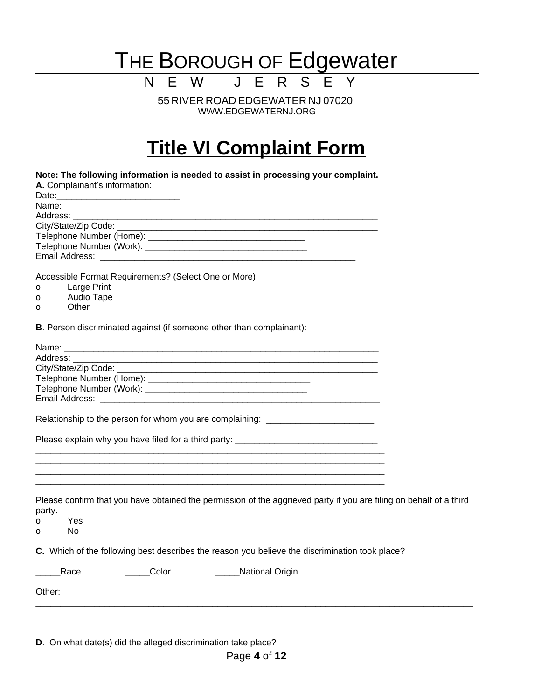\_\_\_\_\_\_\_\_\_\_\_\_\_\_\_\_\_\_\_\_\_\_\_\_\_\_\_\_\_\_\_\_\_\_\_\_\_\_\_\_\_\_\_\_\_\_\_\_\_\_\_\_\_\_\_\_\_\_\_\_\_\_\_\_\_\_\_\_\_\_\_\_\_\_\_\_\_\_\_\_\_\_\_\_\_\_\_\_\_\_\_\_\_\_\_\_\_\_\_\_\_\_\_\_\_\_\_\_\_\_\_\_\_\_\_\_\_\_\_\_\_\_\_\_\_\_\_\_\_\_\_\_\_\_\_\_\_\_\_\_\_\_\_\_\_\_\_\_\_\_\_\_\_\_\_\_\_\_\_\_\_\_\_\_\_\_\_\_\_\_\_\_\_\_\_\_\_ 55 RIVER ROAD EDGEWATER NJ 07020 WWW.EDGEWATERNJ.ORG

N E W J E R S E Y

## **Title VI Complaint Form**

| Note: The following information is needed to assist in processing your complaint.                                            |  |
|------------------------------------------------------------------------------------------------------------------------------|--|
| A. Complainant's information:                                                                                                |  |
|                                                                                                                              |  |
| Address: _______                                                                                                             |  |
|                                                                                                                              |  |
|                                                                                                                              |  |
|                                                                                                                              |  |
|                                                                                                                              |  |
| Accessible Format Requirements? (Select One or More)                                                                         |  |
| Large Print<br>0                                                                                                             |  |
| Audio Tape<br>o                                                                                                              |  |
| Other<br>о                                                                                                                   |  |
| B. Person discriminated against (if someone other than complainant):                                                         |  |
|                                                                                                                              |  |
| Address:<br><u> 1980 - Jan Barnett, fransk politik (d. 1980)</u>                                                             |  |
|                                                                                                                              |  |
|                                                                                                                              |  |
|                                                                                                                              |  |
|                                                                                                                              |  |
|                                                                                                                              |  |
| Relationship to the person for whom you are complaining: _______________________                                             |  |
| Please explain why you have filed for a third party: ___________________________                                             |  |
|                                                                                                                              |  |
|                                                                                                                              |  |
|                                                                                                                              |  |
| Please confirm that you have obtained the permission of the aggrieved party if you are filing on behalf of a third<br>party. |  |
| Yes<br>o                                                                                                                     |  |
| No<br>o                                                                                                                      |  |
| C. Which of the following best describes the reason you believe the discrimination took place?                               |  |
| Color<br>National Origin<br>Race                                                                                             |  |
| Other:                                                                                                                       |  |
|                                                                                                                              |  |
|                                                                                                                              |  |

**D**. On what date(s) did the alleged discrimination take place?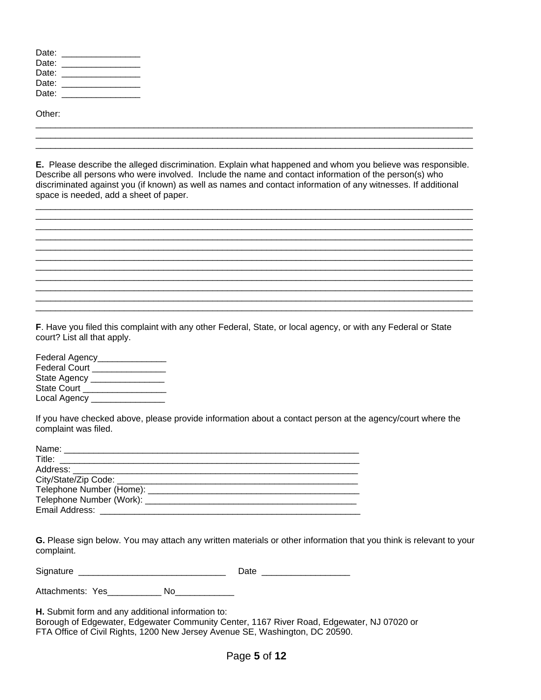| Date: |  |
|-------|--|
| Date: |  |
| Date: |  |
| Date: |  |
| Date: |  |

Other:

**E.** Please describe the alleged discrimination. Explain what happened and whom you believe was responsible. Describe all persons who were involved. Include the name and contact information of the person(s) who discriminated against you (if known) as well as names and contact information of any witnesses. If additional space is needed, add a sheet of paper.

\_\_\_\_\_\_\_\_\_\_\_\_\_\_\_\_\_\_\_\_\_\_\_\_\_\_\_\_\_\_\_\_\_\_\_\_\_\_\_\_\_\_\_\_\_\_\_\_\_\_\_\_\_\_\_\_\_\_\_\_\_\_\_\_\_\_\_\_\_\_\_\_\_\_\_\_\_\_\_\_\_\_\_\_\_\_\_\_\_

\_\_\_\_\_\_\_\_\_\_\_\_\_\_\_\_\_\_\_\_\_\_\_\_\_\_\_\_\_\_\_\_\_\_\_\_\_\_\_\_\_\_\_\_\_\_\_\_\_\_\_\_\_\_\_\_\_\_\_\_\_\_\_\_\_\_\_\_\_\_\_\_\_\_\_\_\_\_\_\_\_\_\_\_\_\_\_\_\_

\_\_\_\_\_\_\_\_\_\_\_\_\_\_\_\_\_\_\_\_\_\_\_\_\_\_\_\_\_\_\_\_\_\_\_\_\_\_\_\_\_\_\_\_\_\_\_\_\_\_\_\_\_\_\_\_\_\_\_\_\_\_\_\_\_\_\_\_\_\_\_\_\_\_\_\_\_\_\_\_\_\_\_\_\_\_\_\_\_

\_\_\_\_\_\_\_\_\_\_\_\_\_\_\_\_\_\_\_\_\_\_\_\_\_\_\_\_\_\_\_\_\_\_\_\_\_\_\_\_\_\_\_\_\_\_\_\_\_\_\_\_\_\_\_\_\_\_\_\_\_\_\_\_\_\_\_\_\_\_\_\_\_\_\_\_\_\_\_\_\_\_\_\_\_\_\_\_\_

\_\_\_\_\_\_\_\_\_\_\_\_\_\_\_\_\_\_\_\_\_\_\_\_\_\_\_\_\_\_\_\_\_\_\_\_\_\_\_\_\_\_\_\_\_\_\_\_\_\_\_\_\_\_\_\_\_\_\_\_\_\_\_\_\_\_\_\_\_\_\_\_\_\_\_\_\_\_\_\_\_\_\_\_\_\_\_\_\_

\_\_\_\_\_\_\_\_\_\_\_\_\_\_\_\_\_\_\_\_\_\_\_\_\_\_\_\_\_\_\_\_\_\_\_\_\_\_\_\_\_\_\_\_\_\_\_\_\_\_\_\_\_\_\_\_\_\_\_\_\_\_\_\_\_\_\_\_\_\_\_\_\_\_\_\_\_\_\_\_\_\_\_\_\_\_\_\_\_

\_\_\_\_\_\_\_\_\_\_\_\_\_\_\_\_\_\_\_\_\_\_\_\_\_\_\_\_\_\_\_\_\_\_\_\_\_\_\_\_\_\_\_\_\_\_\_\_\_\_\_\_\_\_\_\_\_\_\_\_\_\_\_\_\_\_\_\_\_\_\_\_\_\_\_\_\_\_\_\_\_\_\_\_\_\_\_\_\_ \_\_\_\_\_\_\_\_\_\_\_\_\_\_\_\_\_\_\_\_\_\_\_\_\_\_\_\_\_\_\_\_\_\_\_\_\_\_\_\_\_\_\_\_\_\_\_\_\_\_\_\_\_\_\_\_\_\_\_\_\_\_\_\_\_\_\_\_\_\_\_\_\_\_\_\_\_\_\_\_\_\_\_\_\_\_\_\_\_

\_\_\_\_\_\_\_\_\_\_\_\_\_\_\_\_\_\_\_\_\_\_\_\_\_\_\_\_\_\_\_\_\_\_\_\_\_\_\_\_\_\_\_\_\_\_\_\_\_\_\_\_\_\_\_\_\_\_\_\_\_\_\_\_\_\_\_\_\_\_\_\_\_\_\_\_\_\_\_\_\_\_\_\_\_\_\_\_\_

\_\_\_\_\_\_\_\_\_\_\_\_\_\_\_\_\_\_\_\_\_\_\_\_\_\_\_\_\_\_\_\_\_\_\_\_\_\_\_\_\_\_\_\_\_\_\_\_\_\_\_\_\_\_\_\_\_\_\_\_\_\_\_\_\_\_\_\_\_\_\_\_\_\_\_\_\_\_\_\_\_\_\_\_\_\_\_\_\_ \_\_\_\_\_\_\_\_\_\_\_\_\_\_\_\_\_\_\_\_\_\_\_\_\_\_\_\_\_\_\_\_\_\_\_\_\_\_\_\_\_\_\_\_\_\_\_\_\_\_\_\_\_\_\_\_\_\_\_\_\_\_\_\_\_\_\_\_\_\_\_\_\_\_\_\_\_\_\_\_\_\_\_\_\_\_\_\_\_ \_\_\_\_\_\_\_\_\_\_\_\_\_\_\_\_\_\_\_\_\_\_\_\_\_\_\_\_\_\_\_\_\_\_\_\_\_\_\_\_\_\_\_\_\_\_\_\_\_\_\_\_\_\_\_\_\_\_\_\_\_\_\_\_\_\_\_\_\_\_\_\_\_\_\_\_\_\_\_\_\_\_\_\_\_\_\_\_\_

**F**. Have you filed this complaint with any other Federal, State, or local agency, or with any Federal or State court? List all that apply.

Federal Agency\_\_\_\_\_\_\_\_\_\_\_\_\_\_\_\_ Federal Court \_\_\_\_\_\_\_\_\_\_\_\_\_\_\_\_\_ State Agency \_\_\_\_\_\_\_\_\_\_\_\_\_\_\_\_\_ State Court \_\_\_\_\_\_\_\_\_\_\_\_\_\_\_\_\_\_\_\_\_ Local Agency \_\_\_\_\_\_\_\_\_\_\_\_\_\_\_\_

If you have checked above, please provide information about a contact person at the agency/court where the complaint was filed.

| Name: _________________                                                                                                                                                                                                                        |
|------------------------------------------------------------------------------------------------------------------------------------------------------------------------------------------------------------------------------------------------|
| Title:<br><u> 1989 - Johann Harry Harry Harry Harry Harry Harry Harry Harry Harry Harry Harry Harry Harry Harry Harry Harry Harry Harry Harry Harry Harry Harry Harry Harry Harry Harry Harry Harry Harry Harry Harry Harry Harry Harry Ha</u> |
|                                                                                                                                                                                                                                                |
| City/State/Zip Code: _____________                                                                                                                                                                                                             |
|                                                                                                                                                                                                                                                |
| Telephone Number (Work):                                                                                                                                                                                                                       |
| Email Address:                                                                                                                                                                                                                                 |

**G.** Please sign below. You may attach any written materials or other information that you think is relevant to your complaint.

Signature \_\_\_\_\_\_\_\_\_\_\_\_\_\_\_\_\_\_\_\_\_\_\_\_\_\_\_\_\_\_ Date \_\_\_\_\_\_\_\_\_\_\_\_\_\_\_\_\_\_

Attachments: Yes\_\_\_\_\_\_\_\_\_\_\_\_ No\_\_\_\_\_\_\_\_\_\_\_\_\_

**H.** Submit form and any additional information to:

Borough of Edgewater, Edgewater Community Center, 1167 River Road, Edgewater, NJ 07020 or FTA Office of Civil Rights, 1200 New Jersey Avenue SE, Washington, DC 20590.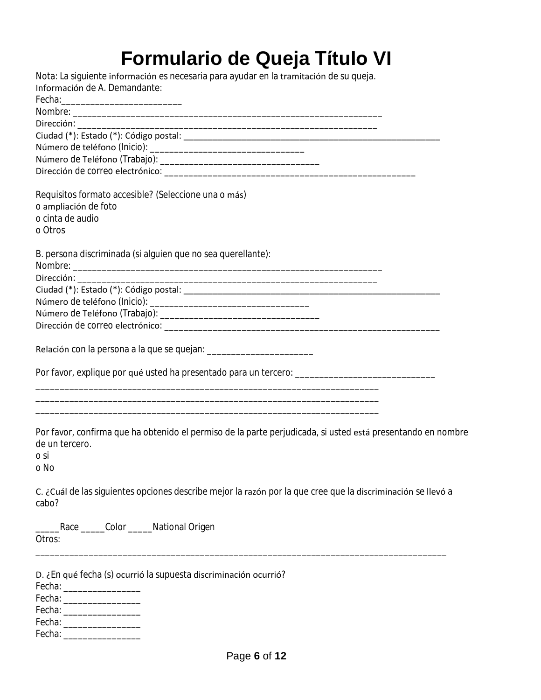# **Formulario de Queja Título VI**

| Nota: La siguiente información es necesaria para ayudar en la tramitación de su queja.<br>Información de A. Demandante:                                                                                                        |
|--------------------------------------------------------------------------------------------------------------------------------------------------------------------------------------------------------------------------------|
| Fecha: expression and a series of the series of the series of the series of the series of the series of the series of the series of the series of the series of the series of the series of the series of the series of the se |
|                                                                                                                                                                                                                                |
|                                                                                                                                                                                                                                |
|                                                                                                                                                                                                                                |
|                                                                                                                                                                                                                                |
|                                                                                                                                                                                                                                |
|                                                                                                                                                                                                                                |
| Requisitos formato accesible? (Seleccione una o más)                                                                                                                                                                           |
| o ampliación de foto                                                                                                                                                                                                           |
| o cinta de audio                                                                                                                                                                                                               |
| o Otros                                                                                                                                                                                                                        |
| B. persona discriminada (si alguien que no sea querellante):                                                                                                                                                                   |
|                                                                                                                                                                                                                                |
| Dirección:                                                                                                                                                                                                                     |
|                                                                                                                                                                                                                                |
|                                                                                                                                                                                                                                |
|                                                                                                                                                                                                                                |
|                                                                                                                                                                                                                                |
|                                                                                                                                                                                                                                |
| Por favor, explique por qué usted ha presentado para un tercero: __________________________________                                                                                                                            |
|                                                                                                                                                                                                                                |
| ,我们也不会有什么。""我们的人,我们也不会有什么?""我们的人,我们也不会有什么?""我们的人,我们也不会有什么?""我们的人,我们也不会有什么?""我们的人                                                                                                                                               |
|                                                                                                                                                                                                                                |
| Por favor, confirma que ha obtenido el permiso de la parte perjudicada, si usted está presentando en nombre<br>de un tercero.<br>o si<br>o No                                                                                  |
| C. ¿Cuál de las siguientes opciones describe mejor la razón por la que cree que la discriminación se llevó a<br>cabo?                                                                                                          |
| Race ______Color ______National Origen<br>Otros:                                                                                                                                                                               |
| D. ¿En qué fecha (s) ocurrió la supuesta discriminación ocurrió?<br>Fecha: ___________________<br>Fecha: _____________________<br>Fecha: ___________________<br>Fecha: ____________________                                    |
| Fecha: ____________________                                                                                                                                                                                                    |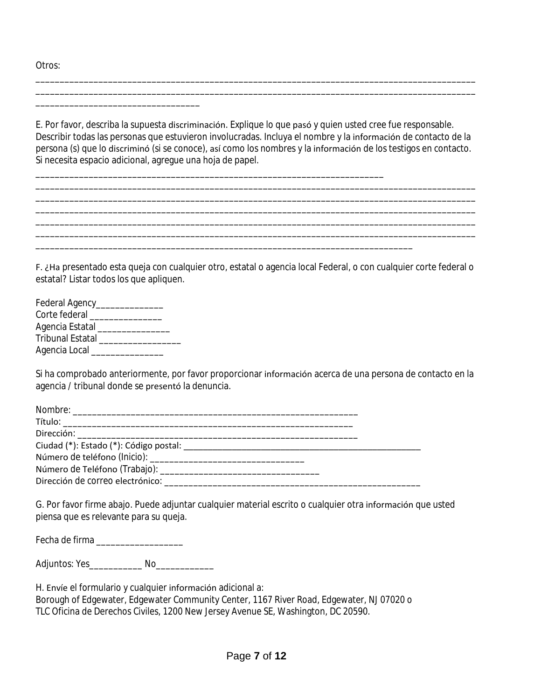Otros:

E. Por favor, describa la supuesta discriminación. Explique lo que pasó y quien usted cree fue responsable. Describir todas las personas que estuvieron involucradas. Incluya el nombre y la información de contacto de la persona (s) que lo discriminó (si se conoce), así como los nombres y la información de los testigos en contacto. Si necesita espacio adicional, agregue una hoja de papel.

\_\_\_\_\_\_\_\_\_\_\_\_\_\_\_\_\_\_\_\_\_\_\_\_\_\_\_\_\_\_\_\_\_\_\_\_\_\_\_\_\_\_\_\_\_\_\_\_\_\_\_\_\_\_\_\_\_\_\_\_\_\_\_\_\_\_\_\_\_\_\_\_\_\_\_\_\_\_\_\_\_\_\_\_\_\_\_\_\_\_\_ \_\_\_\_\_\_\_\_\_\_\_\_\_\_\_\_\_\_\_\_\_\_\_\_\_\_\_\_\_\_\_\_\_\_\_\_\_\_\_\_\_\_\_\_\_\_\_\_\_\_\_\_\_\_\_\_\_\_\_\_\_\_\_\_\_\_\_\_\_\_\_\_\_\_\_\_\_\_\_\_\_\_\_\_\_\_\_\_\_\_\_

\_\_\_\_\_\_\_\_\_\_\_\_\_\_\_\_\_\_\_\_\_\_\_\_\_\_\_\_\_\_\_\_\_\_\_\_\_\_\_\_\_\_\_\_\_\_\_\_\_\_\_\_\_\_\_\_\_\_\_\_\_\_\_\_\_\_\_\_\_\_\_\_\_\_\_\_\_\_\_\_\_\_\_\_\_\_\_\_\_\_\_

\_\_\_\_\_\_\_\_\_\_\_\_\_\_\_\_\_\_\_\_\_\_\_\_\_\_\_\_\_\_\_\_\_\_\_\_\_\_\_\_\_\_\_\_\_\_\_\_\_\_\_\_\_\_\_\_\_\_\_\_\_\_\_\_\_\_\_\_\_\_\_\_

\_\_\_\_\_\_\_\_\_\_\_\_\_\_\_\_\_\_\_\_\_\_\_\_\_\_\_\_\_\_\_\_\_\_\_\_\_\_\_\_\_\_\_\_\_\_\_\_\_\_\_\_\_\_\_\_\_\_\_\_\_\_\_\_\_\_\_\_\_\_\_\_\_\_\_\_\_\_\_\_\_\_\_\_\_\_\_\_\_\_\_ \_\_\_\_\_\_\_\_\_\_\_\_\_\_\_\_\_\_\_\_\_\_\_\_\_\_\_\_\_\_\_\_\_\_\_\_\_\_\_\_\_\_\_\_\_\_\_\_\_\_\_\_\_\_\_\_\_\_\_\_\_\_\_\_\_\_\_\_\_\_\_\_\_\_\_\_\_\_\_\_\_\_\_\_\_\_\_\_\_\_\_

F. ¿Ha presentado esta queja con cualquier otro, estatal o agencia local Federal, o con cualquier corte federal o estatal? Listar todos los que apliquen.

| Federal Agency_         |  |
|-------------------------|--|
| Corte federal           |  |
| Agencia Estatal         |  |
| <b>Tribunal Estatal</b> |  |
| Agencia Local           |  |

\_\_\_\_\_\_\_\_\_\_\_\_\_\_\_\_\_\_\_\_\_\_\_\_\_\_\_\_\_\_\_\_\_\_

Si ha comprobado anteriormente, por favor proporcionar información acerca de una persona de contacto en la agencia / tribunal donde se presentó la denuncia.

| Dirección de correo electrónico: ________________ |  |
|---------------------------------------------------|--|

G. Por favor firme abajo. Puede adjuntar cualquier material escrito o cualquier otra información que usted piensa que es relevante para su queja.

Fecha de firma

Adjuntos: Yes\_\_\_\_\_\_\_\_\_\_\_\_\_ No\_\_\_\_\_\_\_\_\_\_\_\_\_\_

H. Envíe el formulario y cualquier información adicional a:

Borough of Edgewater, Edgewater Community Center, 1167 River Road, Edgewater, NJ 07020 o TLC Oficina de Derechos Civiles, 1200 New Jersey Avenue SE, Washington, DC 20590.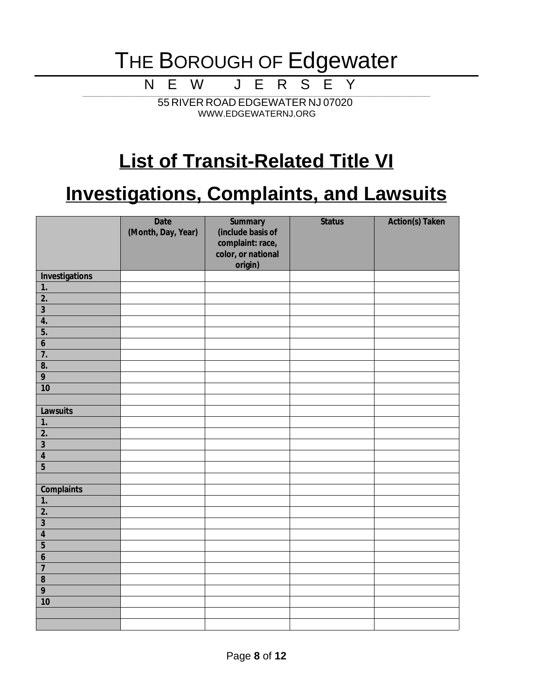N E W J E R S E Y

\_\_\_\_\_\_\_\_\_\_\_\_\_\_\_\_\_\_\_\_\_\_\_\_\_\_\_\_\_\_\_\_\_\_\_\_\_\_\_\_\_\_\_\_\_\_\_\_\_\_\_\_\_\_\_\_\_\_\_\_\_\_\_\_\_\_\_\_\_\_\_\_\_\_\_\_\_\_\_\_\_\_\_\_\_\_\_\_\_\_\_\_\_\_\_\_\_\_\_\_\_\_\_\_\_\_\_\_\_\_\_\_\_\_\_\_\_\_\_\_\_\_\_\_\_\_\_\_\_\_\_\_\_\_\_\_\_\_\_\_\_\_\_\_\_\_\_\_\_\_\_\_\_\_\_\_\_\_\_\_\_\_\_\_\_\_\_\_\_\_\_\_\_\_\_\_\_ 55 RIVER ROAD EDGEWATER NJ 07020 WWW.EDGEWATERNJ.ORG

### **List of Transit-Related Title VI**

### **Investigations, Complaints, and Lawsuits**

|                         | <b>Date</b><br>(Month, Day, Year) | <b>Summary</b><br>(include basis of<br>complaint: race,<br>color, or national<br>origin) | <b>Status</b> | <b>Action(s) Taken</b> |
|-------------------------|-----------------------------------|------------------------------------------------------------------------------------------|---------------|------------------------|
| <b>Investigations</b>   |                                   |                                                                                          |               |                        |
| $\mathbf{1}$            |                                   |                                                                                          |               |                        |
| $\overline{2}$ .        |                                   |                                                                                          |               |                        |
| $\overline{\mathbf{3}}$ |                                   |                                                                                          |               |                        |
| $\overline{4}$ .        |                                   |                                                                                          |               |                        |
| $\overline{5}$ .        |                                   |                                                                                          |               |                        |
| $\boldsymbol{6}$        |                                   |                                                                                          |               |                        |
| $\overline{7}$ .        |                                   |                                                                                          |               |                        |
| 8.                      |                                   |                                                                                          |               |                        |
| $\overline{9}$          |                                   |                                                                                          |               |                        |
| 10                      |                                   |                                                                                          |               |                        |
|                         |                                   |                                                                                          |               |                        |
| Lawsuits                |                                   |                                                                                          |               |                        |
| $\overline{1}$ .        |                                   |                                                                                          |               |                        |
| $\overline{2}$ .        |                                   |                                                                                          |               |                        |
| $\overline{3}$          |                                   |                                                                                          |               |                        |
| $\overline{\mathbf{4}}$ |                                   |                                                                                          |               |                        |
| $\overline{5}$          |                                   |                                                                                          |               |                        |
|                         |                                   |                                                                                          |               |                        |
| <b>Complaints</b>       |                                   |                                                                                          |               |                        |
| $\overline{1}$ .        |                                   |                                                                                          |               |                        |
| $\overline{2}$ .        |                                   |                                                                                          |               |                        |
| $\overline{\mathbf{3}}$ |                                   |                                                                                          |               |                        |
| $\overline{\mathbf{4}}$ |                                   |                                                                                          |               |                        |
| $\overline{5}$          |                                   |                                                                                          |               |                        |
| $\boldsymbol{6}$        |                                   |                                                                                          |               |                        |
| $\overline{7}$          |                                   |                                                                                          |               |                        |
| $\bf{8}$                |                                   |                                                                                          |               |                        |
| $\overline{9}$          |                                   |                                                                                          |               |                        |
| 10                      |                                   |                                                                                          |               |                        |
|                         |                                   |                                                                                          |               |                        |
|                         |                                   |                                                                                          |               |                        |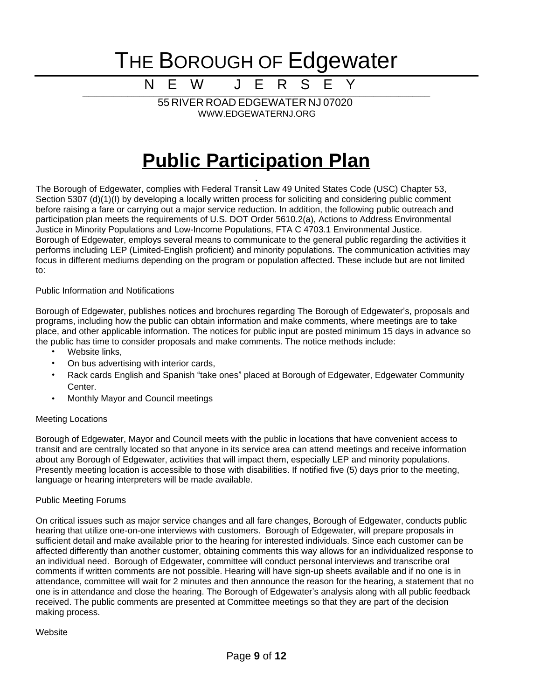N E W J E R \_\_\_\_\_\_\_\_\_\_\_\_\_\_\_\_\_\_\_\_\_\_\_\_\_\_\_\_\_\_\_\_\_\_\_\_\_\_\_\_\_\_\_\_\_\_\_\_\_\_\_\_\_\_\_\_\_\_\_\_\_\_\_\_\_\_\_\_\_\_\_\_\_\_\_\_\_\_\_\_\_\_\_\_\_\_\_\_\_\_\_\_\_\_\_\_\_\_\_\_\_\_\_\_\_\_\_\_\_\_\_\_\_\_\_\_\_\_\_\_\_\_\_\_\_\_\_\_\_\_\_\_\_\_\_\_\_\_\_\_\_\_\_\_\_\_\_\_\_\_\_\_\_\_\_\_\_\_\_\_\_\_\_\_\_\_\_\_\_\_\_\_\_\_\_\_\_

55 RIVER ROAD EDGEWATER NJ 07020 WWW.EDGEWATERNJ.ORG

### **Public Participation Plan**

.

The Borough of Edgewater, complies with Federal Transit Law 49 United States Code (USC) Chapter 53, Section 5307 (d)(1)(I) by developing a locally written process for soliciting and considering public comment before raising a fare or carrying out a major service reduction. In addition, the following public outreach and participation plan meets the requirements of U.S. DOT Order 5610.2(a), Actions to Address Environmental Justice in Minority Populations and Low-Income Populations, FTA C 4703.1 Environmental Justice. Borough of Edgewater, employs several means to communicate to the general public regarding the activities it performs including LEP (Limited-English proficient) and minority populations. The communication activities may focus in different mediums depending on the program or population affected. These include but are not limited to:

Public Information and Notifications

Borough of Edgewater, publishes notices and brochures regarding The Borough of Edgewater's, proposals and programs, including how the public can obtain information and make comments, where meetings are to take place, and other applicable information. The notices for public input are posted minimum 15 days in advance so the public has time to consider proposals and make comments. The notice methods include:

- Website links,
- On bus advertising with interior cards,
- Rack cards English and Spanish "take ones" placed at Borough of Edgewater, Edgewater Community Center.
- Monthly Mayor and Council meetings

#### Meeting Locations

Borough of Edgewater, Mayor and Council meets with the public in locations that have convenient access to transit and are centrally located so that anyone in its service area can attend meetings and receive information about any Borough of Edgewater, activities that will impact them, especially LEP and minority populations. Presently meeting location is accessible to those with disabilities. If notified five (5) days prior to the meeting, language or hearing interpreters will be made available.

#### Public Meeting Forums

On critical issues such as major service changes and all fare changes, Borough of Edgewater, conducts public hearing that utilize one-on-one interviews with customers. Borough of Edgewater, will prepare proposals in sufficient detail and make available prior to the hearing for interested individuals. Since each customer can be affected differently than another customer, obtaining comments this way allows for an individualized response to an individual need. Borough of Edgewater, committee will conduct personal interviews and transcribe oral comments if written comments are not possible. Hearing will have sign-up sheets available and if no one is in attendance, committee will wait for 2 minutes and then announce the reason for the hearing, a statement that no one is in attendance and close the hearing. The Borough of Edgewater's analysis along with all public feedback received. The public comments are presented at Committee meetings so that they are part of the decision making process.

**Website**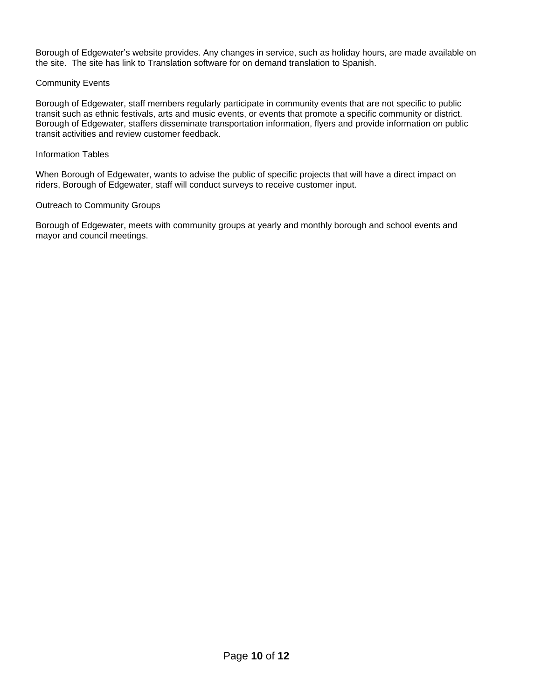Borough of Edgewater's website provides. Any changes in service, such as holiday hours, are made available on the site. The site has link to Translation software for on demand translation to Spanish.

#### Community Events

Borough of Edgewater, staff members regularly participate in community events that are not specific to public transit such as ethnic festivals, arts and music events, or events that promote a specific community or district. Borough of Edgewater, staffers disseminate transportation information, flyers and provide information on public transit activities and review customer feedback.

#### Information Tables

When Borough of Edgewater, wants to advise the public of specific projects that will have a direct impact on riders, Borough of Edgewater, staff will conduct surveys to receive customer input.

#### Outreach to Community Groups

Borough of Edgewater, meets with community groups at yearly and monthly borough and school events and mayor and council meetings.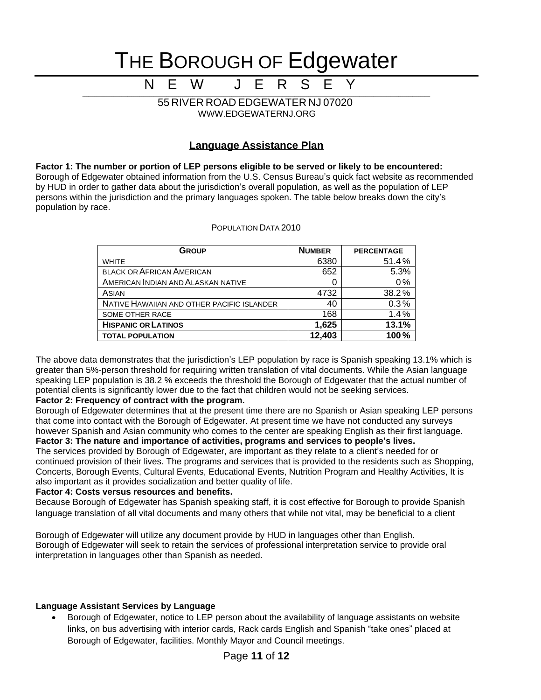N E W J E R S E Y

\_\_\_\_\_\_\_\_\_\_\_\_\_\_\_\_\_\_\_\_\_\_\_\_\_\_\_\_\_\_\_\_\_\_\_\_\_\_\_\_\_\_\_\_\_\_\_\_\_\_\_\_\_\_\_\_\_\_\_\_\_\_\_\_\_\_\_\_\_\_\_\_\_\_\_\_\_\_\_\_\_\_\_\_\_\_\_\_\_\_\_\_\_\_\_\_\_\_\_\_\_\_\_\_\_\_\_\_\_\_\_\_\_\_\_\_\_\_\_\_\_\_\_\_\_\_\_\_\_\_\_\_\_\_\_\_\_\_\_\_\_\_\_\_\_\_\_\_\_\_\_\_\_\_\_\_\_\_\_\_\_\_\_\_\_\_\_\_\_\_\_\_\_\_\_\_\_ 55 RIVER ROAD EDGEWATER NJ 07020 WWW.EDGEWATERNJ.ORG

#### **Language Assistance Plan**

**Factor 1: The number or portion of LEP persons eligible to be served or likely to be encountered:** Borough of Edgewater obtained information from the U.S. Census Bureau's quick fact website as recommended by HUD in order to gather data about the jurisdiction's overall population, as well as the population of LEP persons within the jurisdiction and the primary languages spoken. The table below breaks down the city's population by race.

| POPULATION DATA 2010 |
|----------------------|
|----------------------|

| <b>GROUP</b>                               | <b>NUMBER</b> | <b>PERCENTAGE</b> |
|--------------------------------------------|---------------|-------------------|
| <b>WHITE</b>                               | 6380          | 51.4%             |
| <b>BLACK OR AFRICAN AMERICAN</b>           | 652           | 5.3%              |
| AMERICAN INDIAN AND ALASKAN NATIVE         | O             | 0%                |
| ASIAN                                      | 4732          | 38.2%             |
| NATIVE HAWAIIAN AND OTHER PACIFIC ISLANDER | 40            | 0.3%              |
| SOME OTHER RACE                            | 168           | 1.4%              |
| <b>HISPANIC OR LATINOS</b>                 | 1,625         | 13.1%             |
| <b>TOTAL POPULATION</b>                    | 12,403        | 100%              |

The above data demonstrates that the jurisdiction's LEP population by race is Spanish speaking 13.1% which is greater than 5%-person threshold for requiring written translation of vital documents. While the Asian language speaking LEP population is 38.2 % exceeds the threshold the Borough of Edgewater that the actual number of potential clients is significantly lower due to the fact that children would not be seeking services.

#### **Factor 2: Frequency of contract with the program.**

Borough of Edgewater determines that at the present time there are no Spanish or Asian speaking LEP persons that come into contact with the Borough of Edgewater. At present time we have not conducted any surveys however Spanish and Asian community who comes to the center are speaking English as their first language. **Factor 3: The nature and importance of activities, programs and services to people's lives.**

The services provided by Borough of Edgewater, are important as they relate to a client's needed for or continued provision of their lives. The programs and services that is provided to the residents such as Shopping, Concerts, Borough Events, Cultural Events, Educational Events, Nutrition Program and Healthy Activities, It is also important as it provides socialization and better quality of life.

#### **Factor 4: Costs versus resources and benefits.**

Because Borough of Edgewater has Spanish speaking staff, it is cost effective for Borough to provide Spanish language translation of all vital documents and many others that while not vital, may be beneficial to a client

Borough of Edgewater will utilize any document provide by HUD in languages other than English. Borough of Edgewater will seek to retain the services of professional interpretation service to provide oral interpretation in languages other than Spanish as needed.

#### **Language Assistant Services by Language**

• Borough of Edgewater, notice to LEP person about the availability of language assistants on website links, on bus advertising with interior cards, Rack cards English and Spanish "take ones" placed at Borough of Edgewater, facilities. Monthly Mayor and Council meetings.